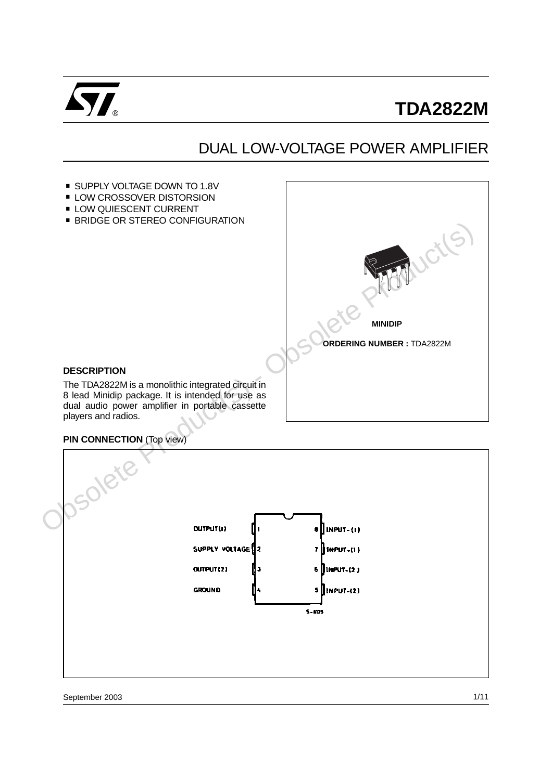

## DUAL LOW-VOLTAGE POWER AMPLIFIER



#### **PIN CONNECTION** (Top view)

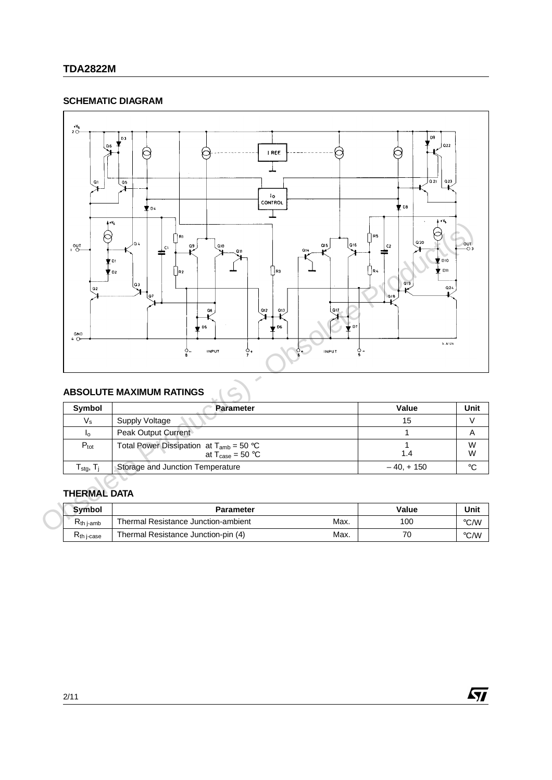### **SCHEMATIC DIAGRAM**



## **ABSOLUTE MAXIMUM RATINGS**

| Symbol                                          | <b>Parameter</b>                                                                     | Value      | Unit   |
|-------------------------------------------------|--------------------------------------------------------------------------------------|------------|--------|
| Vs                                              | Supply Voltage                                                                       | 15         |        |
| Ιo                                              | Peak Output Current                                                                  |            |        |
| $P_{\text{tot}}$                                | Total Power Dissipation at $T_{amb} = 50 °C$<br>at $T_{\text{case}} = 50 \text{ °C}$ | 1.4        | W<br>W |
| $\Gamma_{\text{staq}},\, \mathsf{T}_\mathsf{i}$ | Storage and Junction Temperature                                                     | $-40.+150$ | ∘C     |

## **THERMAL DATA**

| <b>Symbol</b>          | <b>Parameter</b>                            | Value | Unit          |
|------------------------|---------------------------------------------|-------|---------------|
| ∍<br><b>Kth</b> j-amb  | Max.<br>Thermal Resistance Junction-ambient | 100   | °C/W          |
| K <sub>th</sub> j-case | Max.<br>Thermal Resistance Junction-pin (4) | 70    | $\degree$ C/W |

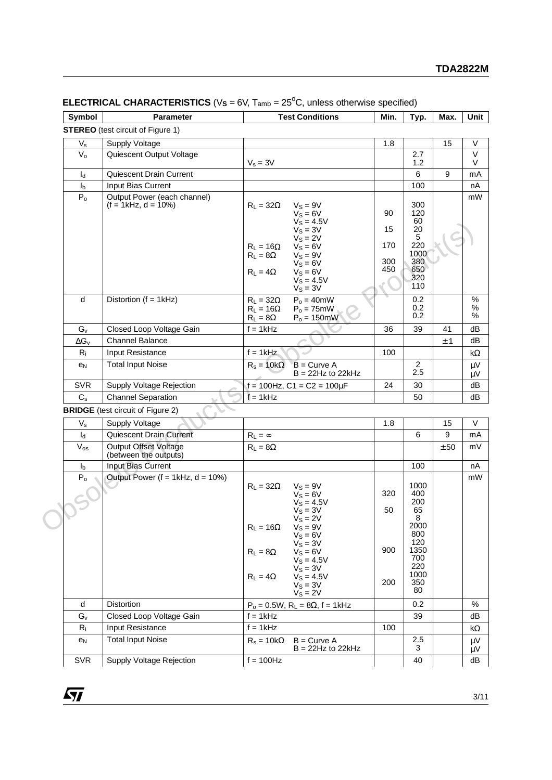| Symbol                    | <b>Parameter</b>                                      | <b>Test Conditions</b>                                                                                                                                                                                                                   | Min.                          | Typ.                                                                   | Max. | Unit              |
|---------------------------|-------------------------------------------------------|------------------------------------------------------------------------------------------------------------------------------------------------------------------------------------------------------------------------------------------|-------------------------------|------------------------------------------------------------------------|------|-------------------|
|                           | <b>STEREO</b> (test circuit of Figure 1)              |                                                                                                                                                                                                                                          |                               |                                                                        |      |                   |
| $V_{\rm s}$               | <b>Supply Voltage</b>                                 |                                                                                                                                                                                                                                          | 1.8                           |                                                                        | 15   | $\vee$            |
| $V_{\rm o}$               | Quiescent Output Voltage                              |                                                                                                                                                                                                                                          |                               | 2.7                                                                    |      | $\vee$            |
|                           |                                                       | $V_s = 3V$                                                                                                                                                                                                                               |                               | 1.2                                                                    |      | V                 |
| $I_d$                     | Quiescent Drain Current                               |                                                                                                                                                                                                                                          |                               | 6                                                                      | 9    | mA                |
| $I_b$                     | Input Bias Current                                    |                                                                                                                                                                                                                                          |                               | 100                                                                    |      | nA                |
| P <sub>o</sub>            | Output Power (each channel)<br>$(f = 1kHz, d = 10\%)$ | $R_L = 32\Omega$<br>$V_S = 9V$<br>$V_S = 6V$<br>$V_S = 4.5V$<br>$V_S = 3V$<br>$V_S = 2V$<br>$V_S = 6V$<br>$R_L = 16\Omega$<br>$V_S = 9V$<br>$R_L = 8\Omega$<br>$V_S = 6V$<br>$V_S = 6V$<br>$R_L = 4\Omega$<br>$V_S = 4.5V$<br>$V_S = 3V$ | 90<br>15<br>170<br>300<br>450 | 300<br>120<br>60<br>20<br>5<br>220<br>1000<br>380<br>650<br>320<br>110 |      | mW                |
| d                         | Distortion $(f = 1kHz)$                               | $R_L = 32\Omega$<br>$P_0 = 40mW$<br>$R_L = 16\Omega$<br>$Po = 75mW$<br>$P_0 = 150$ mW<br>$R_L = 8\Omega$                                                                                                                                 |                               | 0.2<br>0.2<br>0.2                                                      |      | $\%$<br>$\%$<br>% |
| $G_v$                     | Closed Loop Voltage Gain                              | $f = 1kHz$                                                                                                                                                                                                                               | 36                            | 39                                                                     | 41   | dB                |
| $\Delta G_V$              | <b>Channel Balance</b>                                |                                                                                                                                                                                                                                          |                               |                                                                        | ±1   | dB                |
| $R_i$                     | Input Resistance                                      | $f = 1kHz$                                                                                                                                                                                                                               | 100                           |                                                                        |      | kΩ                |
| e <sub>N</sub>            | <b>Total Input Noise</b>                              | $R_s = 10k\Omega$<br>$B = Curve A$<br>$B = 22Hz$ to 22kHz                                                                                                                                                                                |                               | $\overline{2}$<br>2.5                                                  |      | μV<br>μV          |
| <b>SVR</b>                | Supply Voltage Rejection                              | $f = 100$ Hz, C1 = C2 = 100 $\mu$ F                                                                                                                                                                                                      | 24                            | 30                                                                     |      | dB                |
| $C_{\rm s}$               | <b>Channel Separation</b>                             | $f = 1$ kHz                                                                                                                                                                                                                              |                               | 50                                                                     |      | dB                |
|                           | <b>BRIDGE</b> (test circuit of Figure 2)              |                                                                                                                                                                                                                                          |                               |                                                                        |      |                   |
| $V_{\rm s}$               | <b>Supply Voltage</b>                                 |                                                                                                                                                                                                                                          | 1.8                           |                                                                        | 15   | V                 |
| $\mathsf{I}_{\mathsf{d}}$ | Quiescent Drain Current                               | $R_L = \infty$                                                                                                                                                                                                                           |                               | 6                                                                      | 9    | mA                |
| $V_{os}$                  | <b>Output Offset Voltage</b><br>(between the outputs) | $R_L = 8\Omega$                                                                                                                                                                                                                          |                               |                                                                        | ± 50 | mV                |
| $I_{b}$                   | Input Bias Current                                    |                                                                                                                                                                                                                                          |                               | 100                                                                    |      | nA                |
| P <sub>o</sub>            | Output Power ( $f = 1$ kHz, $d = 10\%)$               | $V_S = 9V$<br>$R_1 = 32\Omega$<br>$V_S = 6V$<br>$V_S = 4.5V$<br>$V_S = 3V$<br>$V_S = 2V$<br>$V_S = 9V$<br>$R_L = 16\Omega$<br>$V_S = 6V$<br>$V_S = 3V$<br>$V_S = 6V$<br>$R_1 = 8\Omega$                                                  | 320<br>50<br>900              | 1000<br>400<br>200<br>65<br>8<br>2000<br>800<br>120<br>1350            |      | mW                |

#### **ELECTRICAL CHARACTERISTICS** ( $V_s = 6V$ ,  $T_{amb} = 25^{\circ}C$ , unless otherwise specified)

| $V_{s}$        | <b>Supply Voltage</b>                          |                                                                                                                                                                                                                                                                                     | 1.8                     |                                                                                                | 15   | $\vee$        |
|----------------|------------------------------------------------|-------------------------------------------------------------------------------------------------------------------------------------------------------------------------------------------------------------------------------------------------------------------------------------|-------------------------|------------------------------------------------------------------------------------------------|------|---------------|
| $I_{d}$        | Quiescent Drain Current                        | $R_L = \infty$                                                                                                                                                                                                                                                                      |                         | 6                                                                                              | 9    | mA            |
| $V_{os}$       | Output Offset Voltage<br>(between the outputs) | $R_1 = 8\Omega$                                                                                                                                                                                                                                                                     |                         |                                                                                                | ± 50 | mV            |
| I <sub>b</sub> | Input Bias Current                             |                                                                                                                                                                                                                                                                                     |                         | 100                                                                                            |      | nA            |
| $P_{o}$        | Output Power ( $f = 1$ kHz, $d = 10\%)$        | $R_L = 32\Omega$<br>$V_S = 9V$<br>$V_S = 6V$<br>$V_S = 4.5V$<br>$V_S = 3V$<br>$V_S = 2V$<br>$R_L = 16\Omega$<br>$V_S = 9V$<br>$V_S = 6V$<br>$V_S = 3V$<br>$V_S = 6V$<br>$R_L = 8\Omega$<br>$V_S = 4.5V$<br>$V_S = 3V$<br>$V_S = 4.5V$<br>$R_L = 4\Omega$<br>$V_S = 3V$<br>$VS = 2V$ | 320<br>50<br>900<br>200 | 1000<br>400<br>200<br>65<br>8<br>2000<br>800<br>120<br>1350<br>700<br>220<br>1000<br>350<br>80 |      | mW            |
| d              | <b>Distortion</b>                              | $P_0 = 0.5W$ , $R_L = 8\Omega$ , f = 1kHz                                                                                                                                                                                                                                           |                         | 0.2                                                                                            |      | %             |
| $G_v$          | Closed Loop Voltage Gain                       | $f = 1kHz$                                                                                                                                                                                                                                                                          |                         | 39                                                                                             |      | dB            |
| $R_i$          | Input Resistance                               | $f = 1$ kHz                                                                                                                                                                                                                                                                         | 100                     |                                                                                                |      | kΩ            |
| e <sub>N</sub> | <b>Total Input Noise</b>                       | $R_s = 10k\Omega$ B = Curve A<br>$B = 22Hz$ to 22kHz                                                                                                                                                                                                                                |                         | 2.5<br>3                                                                                       |      | $\mu$ V<br>μV |
| <b>SVR</b>     | Supply Voltage Rejection                       | $f = 100$ Hz                                                                                                                                                                                                                                                                        |                         | 40                                                                                             |      | dB            |

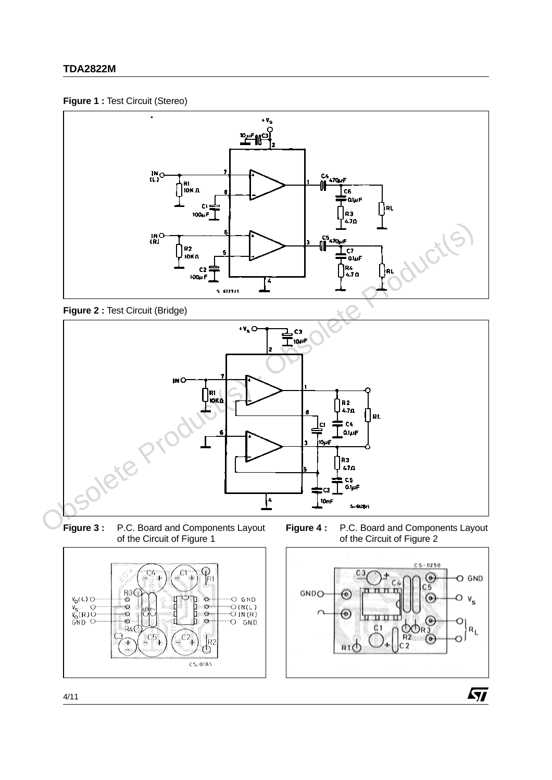#### **Figure 1 :** Test Circuit (Stereo)



**Figure 2 :** Test Circuit (Bridge)



**Figure 3 :** P.C. Board and Components Layout of the Circuit of Figure 1







 $\sqrt{27}$ 

 $V_0(L)$ 

 $V_S$ <br> $V_S$ <sub>0</sub>(R)<sup>O</sup><br>GND O

ō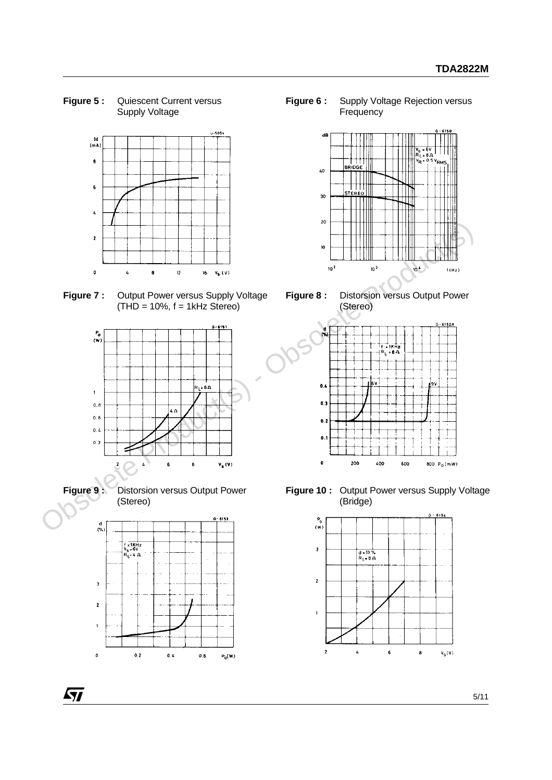**Figure 5 :** Quiescent Current versus Supply Voltage



**Figure 7 :** Output Power versus Supply Voltage  $(THD = 10\%, f = 1kHz$  Stereo)





Г

**Figure 9 :** Distorsion versus Output Power (Stereo)



**Figure 6 :** Supply Voltage Rejection versus **Frequency** 



**Figure 8 :** Distorsion versus Output Power (Stereo)



**Figure 10 :** Output Power versus Supply Voltage (Bridge)



5/11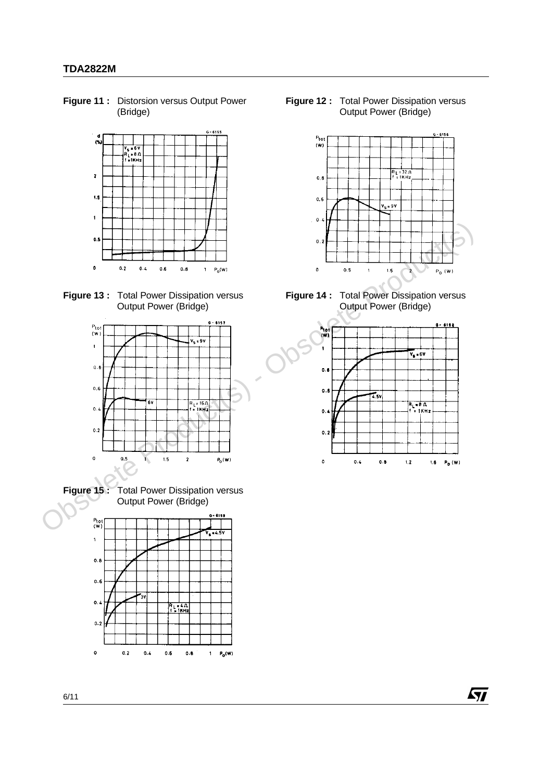**Figure 11 :** Distorsion versus Output Power (Bridge)



**Figure 13 :** Total Power Dissipation versus Output Power (Bridge)



**Figure 15 :** Total Power Dissipation versus Output Power (Bridge)



**Figure 12 :** Total Power Dissipation versus Output Power (Bridge)



**Figure 14 :** Total Power Dissipation versus Output Power (Bridge)



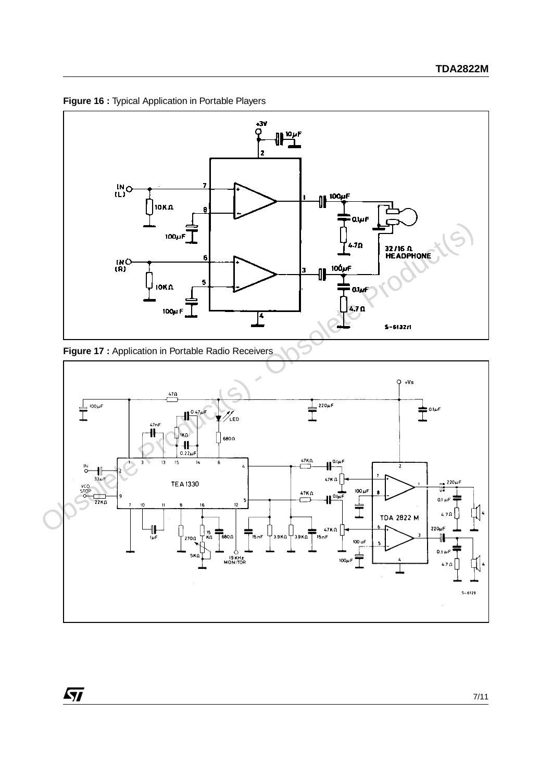

**Figure 16 :** Typical Application in Portable Players



 $\sqrt{M}$ 

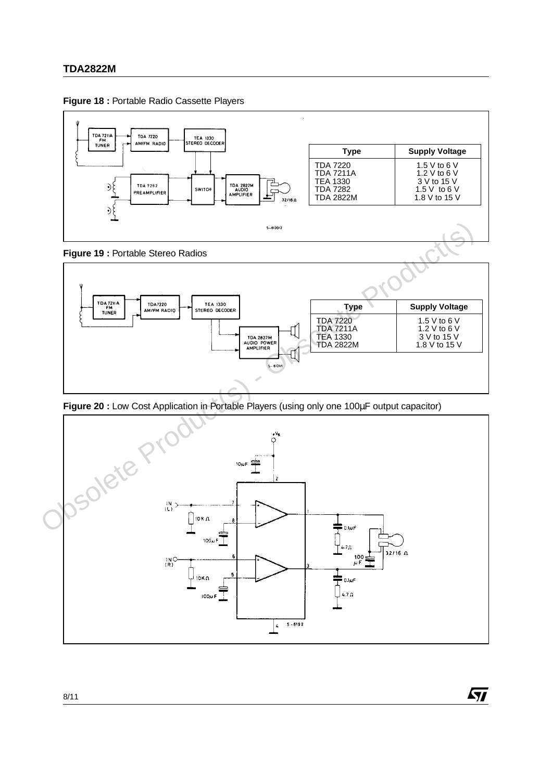







**Figure 20 :** Low Cost Application in Portable Players (using only one 100µF output capacitor)



ky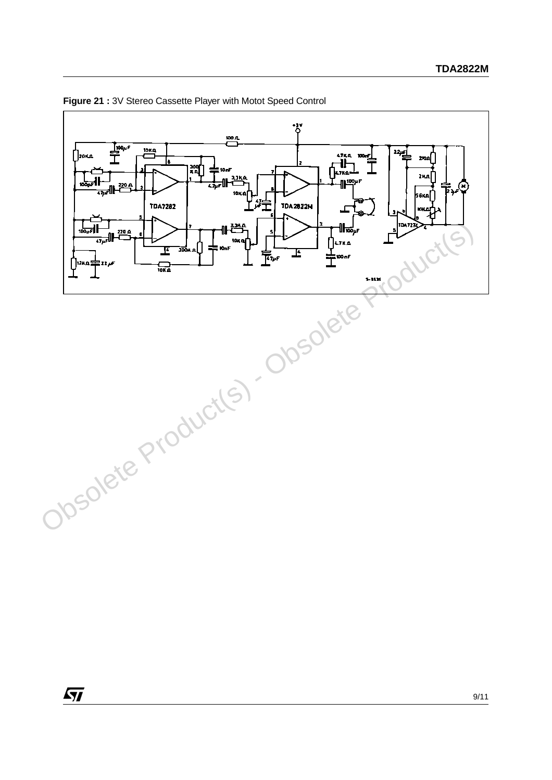



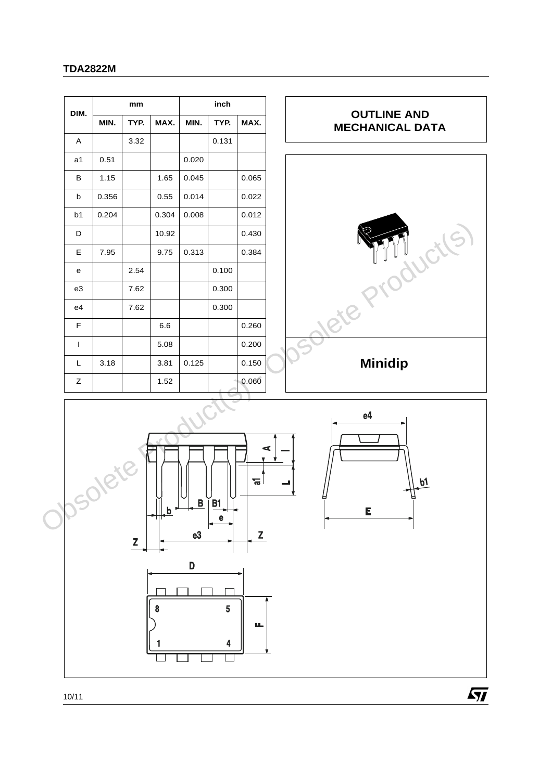|       | inch<br>mm |             |                    |                                |       |                                              |
|-------|------------|-------------|--------------------|--------------------------------|-------|----------------------------------------------|
| MIN.  | TYP.       | MAX.        | MIN.               | TYP.                           | MAX.  | <b>OUTLINE AND</b><br><b>MECHANICAL DATA</b> |
|       | 3.32       |             |                    | 0.131                          |       |                                              |
| 0.51  |            |             | 0.020              |                                |       |                                              |
| 1.15  |            | 1.65        | 0.045              |                                | 0.065 |                                              |
| 0.356 |            | 0.55        | 0.014              |                                | 0.022 |                                              |
| 0.204 |            | 0.304       | 0.008              |                                | 0.012 |                                              |
|       |            | 10.92       |                    |                                | 0.430 |                                              |
| 7.95  |            | 9.75        | 0.313              |                                | 0.384 | $\cdot$ C                                    |
|       | 2.54       |             |                    | 0.100                          |       |                                              |
|       | 7.62       |             |                    | 0.300                          |       |                                              |
|       | 7.62       |             |                    | 0.300                          |       | Rife.                                        |
|       |            | $6.6\,$     |                    |                                | 0.260 |                                              |
|       |            | 5.08        |                    |                                | 0.200 |                                              |
| 3.18  |            | 3.81        | 0.125              |                                | 0.150 | <b>Minidip</b>                               |
|       |            | 1.52        |                    |                                | 0.060 |                                              |
|       | Z          | $\mathbf b$ | $\mathbf{B}$<br>e3 | B <sub>1</sub><br>$\mathbf{e}$ | БT,   | e4<br>p1<br>E                                |
|       | Josol      |             |                    |                                |       | ⋖<br>Z                                       |





 $\sqrt{M}$